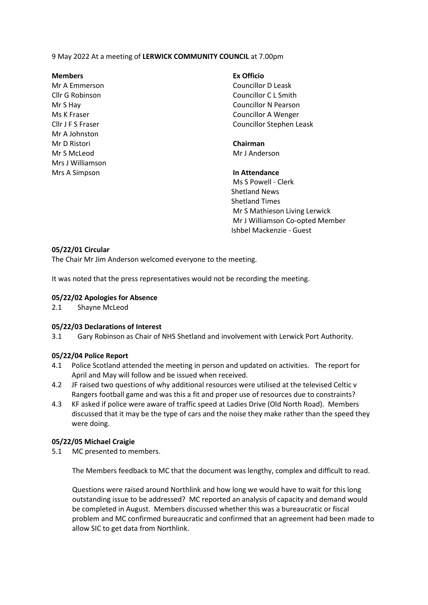9 May 2022 At a meeting of **LERWICK COMMUNITY COUNCIL** at 7.00pm

## **Members Ex Officio**

Mr A Johnston Mr D Ristori **Chairman** Mr S McLeod Mr J Anderson Mrs J Williamson Mrs A Simpson **In Attendance**

Mr A Emmerson Councillor D Leask Cllr G Robinson Councillor C L Smith Mr S Hay Councillor N Pearson Ms K Fraser Councillor A Wenger Cllr J F S Fraser Councillor Stephen Leask

Ms S Powell - Clerk Shetland News Shetland Times Mr S Mathieson Living Lerwick Mr J Williamson Co-opted Member Ishbel Mackenzie - Guest

# **05/22/01 Circular**

The Chair Mr Jim Anderson welcomed everyone to the meeting.

It was noted that the press representatives would not be recording the meeting.

## **05/22/02 Apologies for Absence**

2.1 Shayne McLeod

#### **05/22/03 Declarations of Interest**

3.1 Gary Robinson as Chair of NHS Shetland and involvement with Lerwick Port Authority.

# **05/22/04 Police Report**

- 4.1 Police Scotland attended the meeting in person and updated on activities. The report for April and May will follow and be issued when received.
- 4.2 JF raised two questions of why additional resources were utilised at the televised Celtic v Rangers football game and was this a fit and proper use of resources due to constraints?
- 4.3 KF asked if police were aware of traffic speed at Ladies Drive (Old North Road). Members discussed that it may be the type of cars and the noise they make rather than the speed they were doing.

# **05/22/05 Michael Craigie**

5.1 MC presented to members.

The Members feedback to MC that the document was lengthy, complex and difficult to read.

Questions were raised around Northlink and how long we would have to wait for this long outstanding issue to be addressed? MC reported an analysis of capacity and demand would be completed in August. Members discussed whether this was a bureaucratic or fiscal problem and MC confirmed bureaucratic and confirmed that an agreement had been made to allow SIC to get data from Northlink.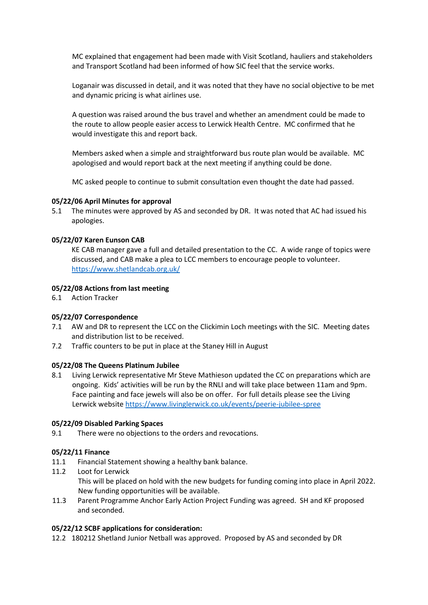MC explained that engagement had been made with Visit Scotland, hauliers and stakeholders and Transport Scotland had been informed of how SIC feel that the service works.

Loganair was discussed in detail, and it was noted that they have no social objective to be met and dynamic pricing is what airlines use.

A question was raised around the bus travel and whether an amendment could be made to the route to allow people easier access to Lerwick Health Centre. MC confirmed that he would investigate this and report back.

Members asked when a simple and straightforward bus route plan would be available. MC apologised and would report back at the next meeting if anything could be done.

MC asked people to continue to submit consultation even thought the date had passed.

## **05/22/06 April Minutes for approval**

5.1 The minutes were approved by AS and seconded by DR. It was noted that AC had issued his apologies.

## **05/22/07 Karen Eunson CAB**

KE CAB manager gave a full and detailed presentation to the CC. A wide range of topics were discussed, and CAB make a plea to LCC members to encourage people to volunteer. <https://www.shetlandcab.org.uk/>

#### **05/22/08 Actions from last meeting**

6.1 Action Tracker

#### **05/22/07 Correspondence**

- 7.1 AW and DR to represent the LCC on the Clickimin Loch meetings with the SIC. Meeting dates and distribution list to be received.
- 7.2 Traffic counters to be put in place at the Staney Hill in August

#### **05/22/08 The Queens Platinum Jubilee**

8.1 Living Lerwick representative Mr Steve Mathieson updated the CC on preparations which are ongoing. Kids' activities will be run by the RNLI and will take place between 11am and 9pm. Face painting and face jewels will also be on offer. For full details please see the Living Lerwick website <https://www.livinglerwick.co.uk/events/peerie-jubilee-spree>

## **05/22/09 Disabled Parking Spaces**

9.1 There were no objections to the orders and revocations.

# **05/22/11 Finance**

- 11.1 Financial Statement showing a healthy bank balance.
- 11.2 Loot for Lerwick This will be placed on hold with the new budgets for funding coming into place in April 2022. New funding opportunities will be available.
- 11.3 Parent Programme Anchor Early Action Project Funding was agreed. SH and KF proposed and seconded.

# **05/22/12 SCBF applications for consideration:**

12.2 180212 Shetland Junior Netball was approved. Proposed by AS and seconded by DR